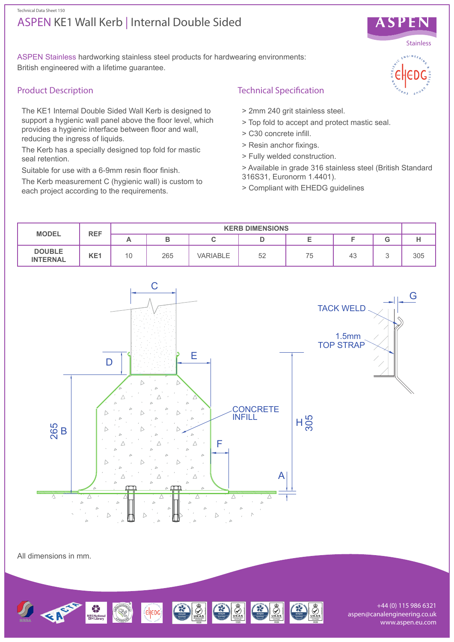#### Technical Data Sheet 150

# ASPEN KE1 Wall Kerb | Internal Double Sided



## Product Description

The KE1 Internal Double Sided Wall Kerb is designed to support a hygienic wall panel above the floor level, which provides a hygienic interface between floor and wall, reducing the ingress of liquids.

The Kerb has a specially designed top fold for mastic seal retention.

Suitable for use with a 6-9mm resin floor finish.

The Kerb measurement C (hygienic wall) is custom to each project according to the requirements.

## Technical Specification

- > 2mm 240 grit stainless steel.
- > Top fold to accept and protect mastic seal.
- > C30 concrete infill.
- > Resin anchor fixings.
- > Fully welded construction.
- > Available in grade 316 stainless steel (British Standard 316S31, Euronorm 1.4401).
- > Compliant with EHEDG guidelines



All dimensions in mm.



+44 (0) 115 986 6321 aspen@canalengineering.co.uk www.aspen.eu.com

**SPEN Stainless**